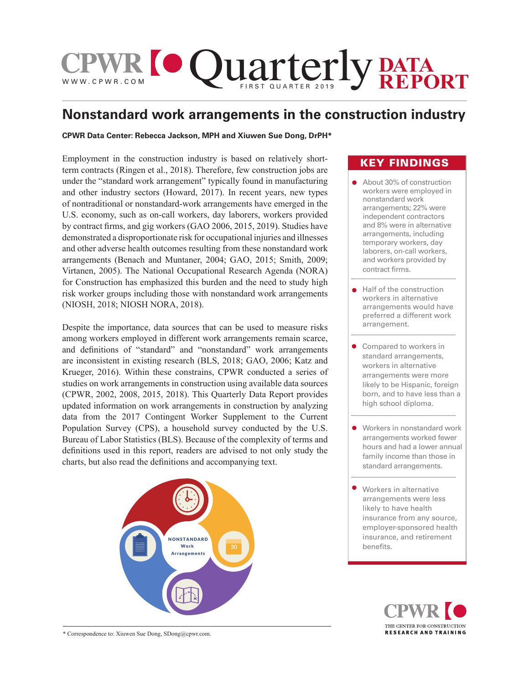

# **Nonstandard work arrangements in the construction industry**

## **CPWR Data Center: Rebecca Jackson, MPH and Xiuwen Sue Dong, DrPH\***

Employment in the construction industry is based on relatively shortterm contracts (Ringen et al., 2018). Therefore, few construction jobs are under the "standard work arrangement" typically found in manufacturing and other industry sectors (Howard, 2017). In recent years, new types of nontraditional or nonstandard-work arrangements have emerged in the U.S. economy, such as on-call workers, day laborers, workers provided by contract firms, and gig workers (GAO 2006, 2015, 2019). Studies have demonstrated a disproportionate risk for occupational injuries and illnesses and other adverse health outcomes resulting from these nonstandard work arrangements (Benach and Muntaner, 2004; GAO, 2015; Smith, 2009; Virtanen, 2005). The National Occupational Research Agenda (NORA) for Construction has emphasized this burden and the need to study high risk worker groups including those with nonstandard work arrangements (NIOSH, 2018; NIOSH NORA, 2018).

Despite the importance, data sources that can be used to measure risks among workers employed in different work arrangements remain scarce, and definitions of "standard" and "nonstandard" work arrangements are inconsistent in existing research (BLS, 2018; GAO, 2006; Katz and Krueger, 2016). Within these constrains, CPWR conducted a series of studies on work arrangements in construction using available data sources (CPWR, 2002, 2008, 2015, 2018). This Quarterly Data Report provides updated information on work arrangements in construction by analyzing data from the 2017 Contingent Worker Supplement to the Current Population Survey (CPS), a household survey conducted by the U.S. Bureau of Labor Statistics (BLS). Because of the complexity of terms and definitions used in this report, readers are advised to not only study the charts, but also read the definitions and accompanying text.



# KEY FINDINGS

- About 30% of construction workers were employed in nonstandard work arrangements; 22% were independent contractors and 8% were in alternative arrangements, including temporary workers, day laborers, on-call workers, and workers provided by contract firms.
- Half of the construction workers in alternative arrangements would have preferred a different work arrangement.
- Compared to workers in standard arrangements, workers in alternative arrangements were more likely to be Hispanic, foreign born, and to have less than a high school diploma.
- Workers in nonstandard work arrangements worked fewer hours and had a lower annual family income than those in standard arrangements.
- Workers in alternative arrangements were less likely to have health insurance from any source, employer-sponsored health insurance, and retirement benefits.



\* Correspondence to: Xiuwen Sue Dong, SDong@cpwr.com.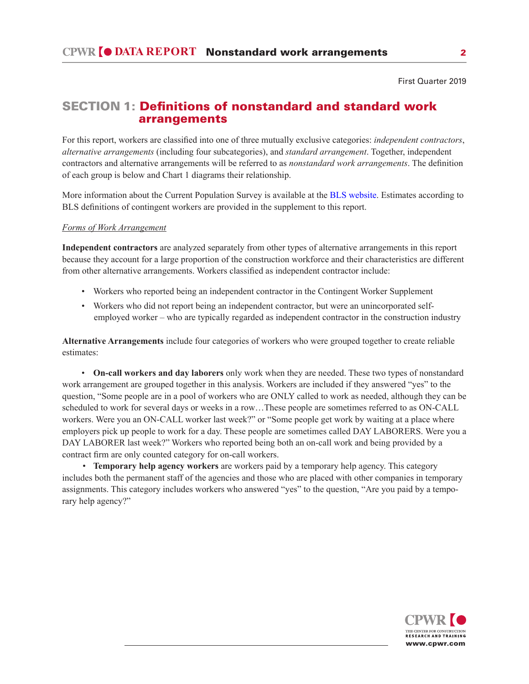# SECTION 1: Definitions of nonstandard and standard work arrangements

For this report, workers are classified into one of three mutually exclusive categories: *independent contractors*, *alternative arrangements* (including four subcategories), and *standard arrangement*. Together, independent contractors and alternative arrangements will be referred to as *nonstandard work arrangements*. The definition of each group is below and Chart 1 diagrams their relationship.

More information about the Current Population Survey is available at the BLS website. Estimates according to BLS definitions of contingent workers are provided in the supplement to this report.

## *Forms of Work Arrangement*

**Independent contractors** are analyzed separately from other types of alternative arrangements in this report because they account for a large proportion of the construction workforce and their characteristics are different from other alternative arrangements. Workers classified as independent contractor include:

- Workers who reported being an independent contractor in the Contingent Worker Supplement
- Workers who did not report being an independent contractor, but were an unincorporated self employed worker – who are typically regarded as independent contractor in the construction industry

**Alternative Arrangements** include four categories of workers who were grouped together to create reliable estimates:

• **On-call workers and day laborers** only work when they are needed. These two types of nonstandard work arrangement are grouped together in this analysis. Workers are included if they answered "yes" to the question, "Some people are in a pool of workers who are ONLY called to work as needed, although they can be scheduled to work for several days or weeks in a row…These people are sometimes referred to as ON-CALL workers. Were you an ON-CALL worker last week?" or "Some people get work by waiting at a place where employers pick up people to work for a day. These people are sometimes called DAY LABORERS. Were you a DAY LABORER last week?" Workers who reported being both an on-call work and being provided by a contract firm are only counted category for on-call workers.

 • **Temporary help agency workers** are workers paid by a temporary help agency. This category includes both the permanent staff of the agencies and those who are placed with other companies in temporary assignments. This category includes workers who answered "yes" to the question, "Are you paid by a temporary help agency?"

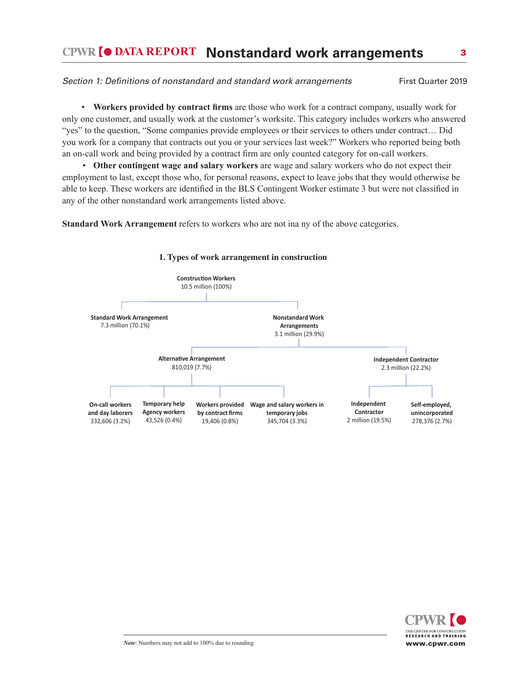# **DATA REPORT Nonstandard work arrangements** 3

## Section 1: Definitions of nonstandard and standard work arrangements First Quarter 2019

• **Workers provided by contract firms** are those who work for a contract company, usually work for only one customer, and usually work at the customer's worksite. This category includes workers who answered "yes" to the question, "Some companies provide employees or their services to others under contract… Did you work for a company that contracts out you or your services last week?" Workers who reported being both an on-call work and being provided by a contract firm are only counted category for on-call workers.

 • **Other contingent wage and salary workers** are wage and salary workers who do not expect their employment to last, except those who, for personal reasons, expect to leave jobs that they would otherwise be able to keep. These workers are identified in the BLS Contingent Worker estimate 3 but were not classified in any of the other nonstandard work arrangements listed above.

**Standard Work Arrangement** refers to workers who are not ina ny of the above categories.



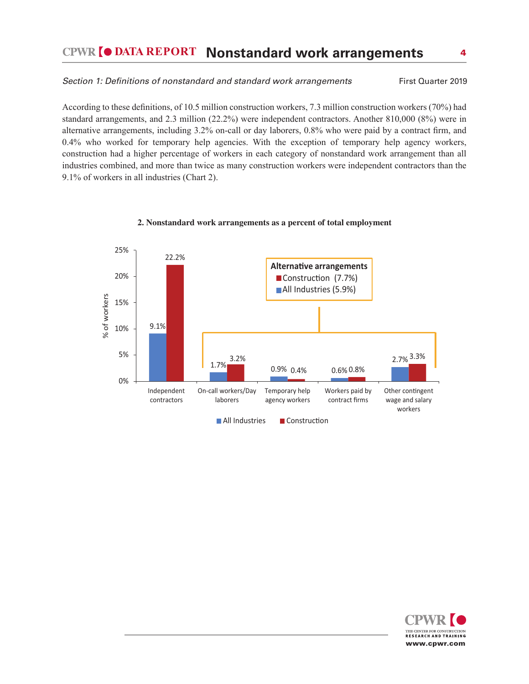# **DATA REPORT Nonstandard work arrangements** 4

## Section 1: Definitions of nonstandard and standard work arrangements First Quarter 2019

According to these definitions, of 10.5 million construction workers, 7.3 million construction workers (70%) had standard arrangements, and 2.3 million (22.2%) were independent contractors. Another 810,000 (8%) were in alternative arrangements, including 3.2% on-call or day laborers, 0.8% who were paid by a contract firm, and 0.4% who worked for temporary help agencies. With the exception of temporary help agency workers, construction had a higher percentage of workers in each category of nonstandard work arrangement than all industries combined, and more than twice as many construction workers were independent contractors than the 9.1% of workers in all industries (Chart 2).



#### **2. Nonstandard work arrangements as a percent of total employment**

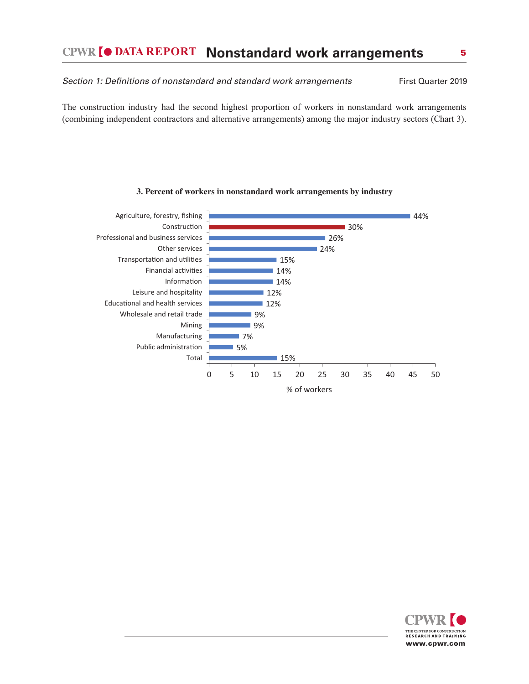Section 1: Definitions of nonstandard and standard work arrangements First Quarter 2019

The construction industry had the second highest proportion of workers in nonstandard work arrangements (combining independent contractors and alternative arrangements) among the major industry sectors (Chart 3).



#### **3. Percent of workers in nonstandard work arrangements by industry**

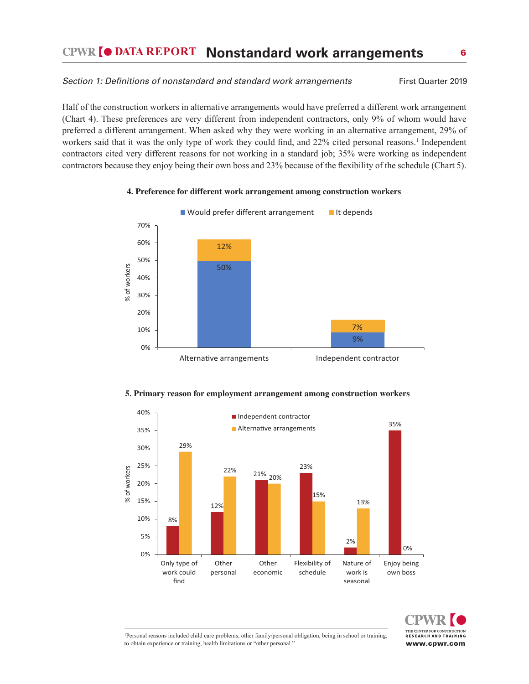# **DATA REPORT Nonstandard work arrangements** 6

#### Section 1: Definitions of nonstandard and standard work arrangements First Quarter 2019

Half of the construction workers in alternative arrangements would have preferred a different work arrangement (Chart 4). These preferences are very different from independent contractors, only 9% of whom would have preferred a different arrangement. When asked why they were working in an alternative arrangement, 29% of workers said that it was the only type of work they could find, and 22% cited personal reasons.<sup>1</sup> Independent contractors cited very different reasons for not working in a standard job; 35% were working as independent contractors because they enjoy being their own boss and 23% because of the flexibility of the schedule (Chart 5).

#### **4. Preference for different work arrangement among construction workers**









<sup>1</sup>Personal reasons included child care problems, other family/personal obligation, being in school or training, to obtain experience or training, health limitations or "other personal."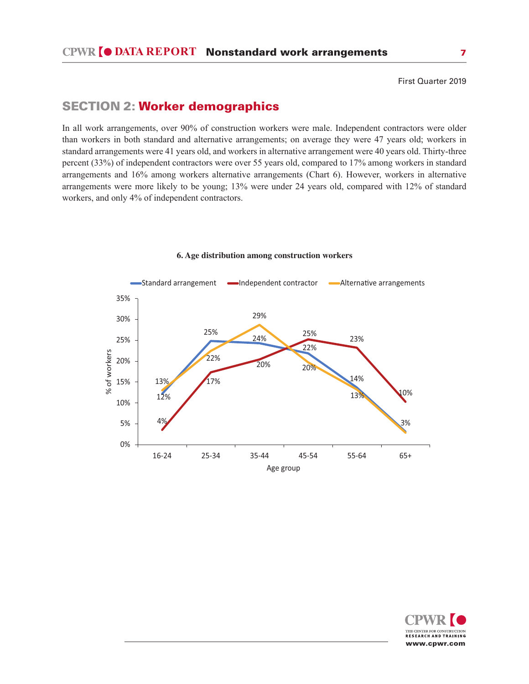# SECTION 2: Worker demographics

In all work arrangements, over 90% of construction workers were male. Independent contractors were older than workers in both standard and alternative arrangements; on average they were 47 years old; workers in standard arrangements were 41 years old, and workers in alternative arrangement were 40 years old. Thirty-three percent (33%) of independent contractors were over 55 years old, compared to 17% among workers in standard arrangements and 16% among workers alternative arrangements (Chart 6). However, workers in alternative arrangements were more likely to be young; 13% were under 24 years old, compared with 12% of standard workers, and only 4% of independent contractors.



#### **6. Age distribution among construction workers**

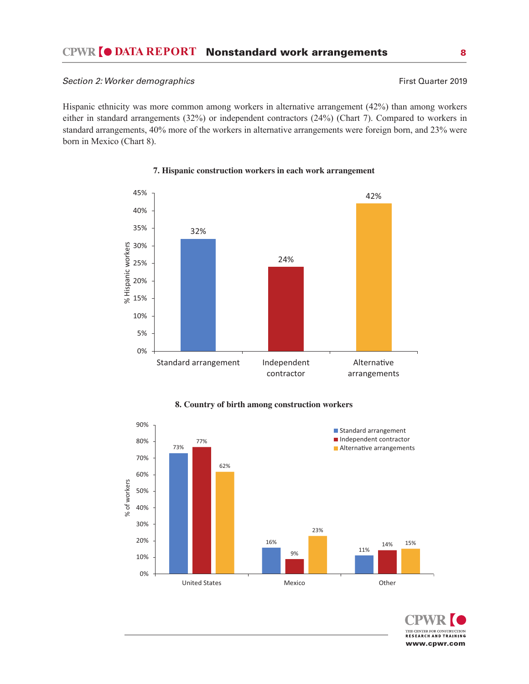## Section 2: Worker demographics **First Quarter 2019** First Quarter 2019

Hispanic ethnicity was more common among workers in alternative arrangement (42%) than among workers either in standard arrangements (32%) or independent contractors (24%) (Chart 7). Compared to workers in standard arrangements, 40% more of the workers in alternative arrangements were foreign born, and 23% were born in Mexico (Chart 8).



## **7. Hispanic construction workers in each work arrangement**



## **8. Country of birth among construction workers**

THE CENTER FOR CONSTRUCTION RESEARCH AND TRAINING www.cpwr.com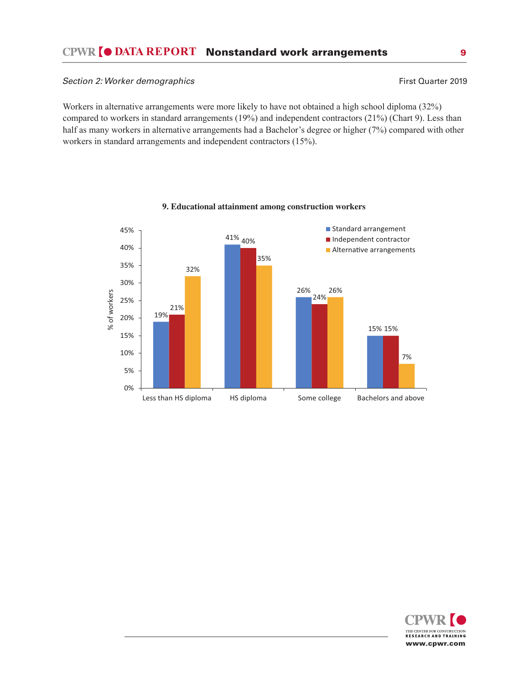## Section 2: Worker demographics **First Quarter 2019 First Quarter 2019**

Workers in alternative arrangements were more likely to have not obtained a high school diploma (32%) compared to workers in standard arrangements (19%) and independent contractors (21%) (Chart 9). Less than half as many workers in alternative arrangements had a Bachelor's degree or higher (7%) compared with other workers in standard arrangements and independent contractors (15%).



## **9. Educational attainment among construction workers**

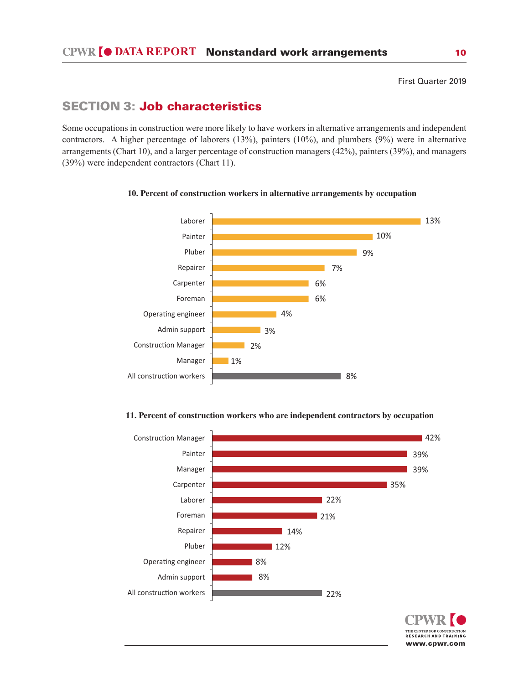# SECTION 3: Job characteristics

Some occupations in construction were more likely to have workers in alternative arrangements and independent contractors. A higher percentage of laborers (13%), painters (10%), and plumbers (9%) were in alternative arrangements (Chart 10), and a larger percentage of construction managers (42%), painters (39%), and managers (39%) were independent contractors (Chart 11).



#### **10. Percent of construction workers in alternative arrangements by occupation**

#### **11. Percent of construction workers who are independent contractors by occupation**



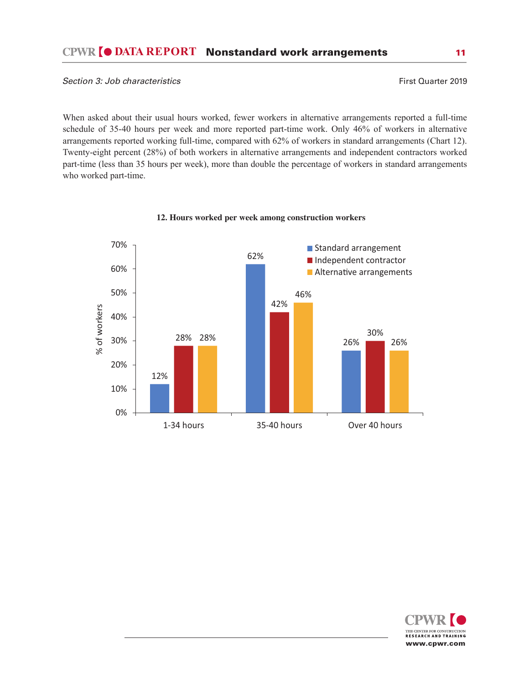When asked about their usual hours worked, fewer workers in alternative arrangements reported a full-time schedule of 35-40 hours per week and more reported part-time work. Only 46% of workers in alternative arrangements reported working full-time, compared with 62% of workers in standard arrangements (Chart 12). Twenty-eight percent (28%) of both workers in alternative arrangements and independent contractors worked part-time (less than 35 hours per week), more than double the percentage of workers in standard arrangements who worked part-time.



**12. Hours worked per week among construction workers**

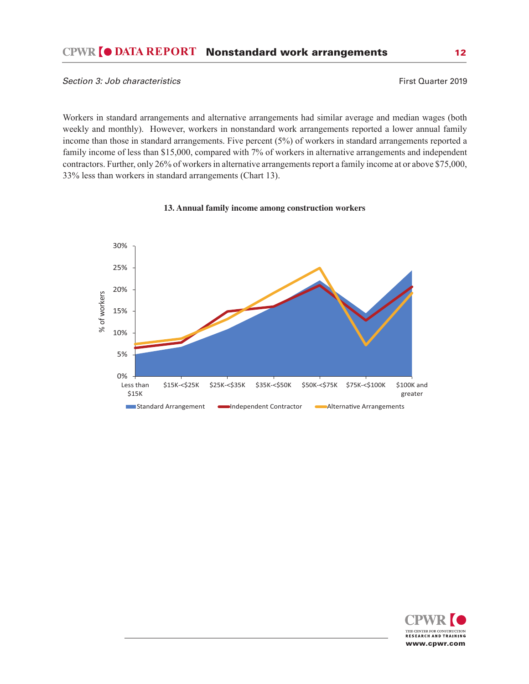Workers in standard arrangements and alternative arrangements had similar average and median wages (both weekly and monthly). However, workers in nonstandard work arrangements reported a lower annual family income than those in standard arrangements. Five percent (5%) of workers in standard arrangements reported a family income of less than \$15,000, compared with 7% of workers in alternative arrangements and independent contractors. Further, only 26% of workers in alternative arrangements report a family income at or above \$75,000, 33% less than workers in standard arrangements (Chart 13).



## **13. Annual family income among construction workers**

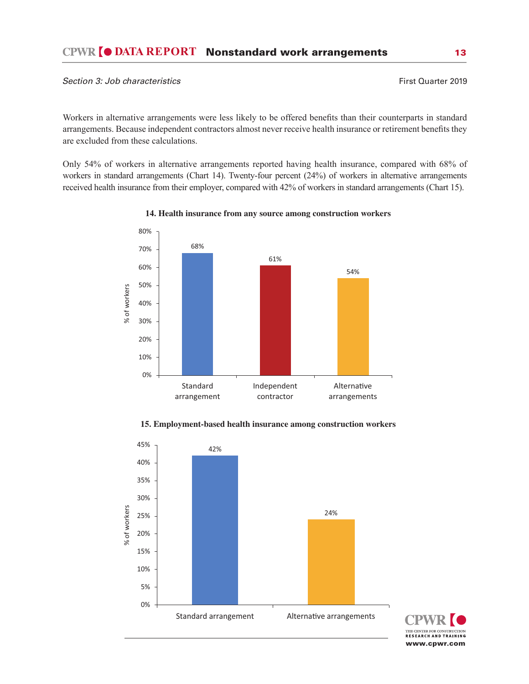Workers in alternative arrangements were less likely to be offered benefits than their counterparts in standard arrangements. Because independent contractors almost never receive health insurance or retirement benefits they are excluded from these calculations.

Only 54% of workers in alternative arrangements reported having health insurance, compared with 68% of workers in standard arrangements (Chart 14). Twenty-four percent (24%) of workers in alternative arrangements received health insurance from their employer, compared with 42% of workers in standard arrangements (Chart 15).



**14. Health insurance from any source among construction workers**



## **15. Employment-based health insurance among construction workers**

THE CENTER FOR CONSTRUCTION<br>RESEARCH AND TRAINING www.cpwr.com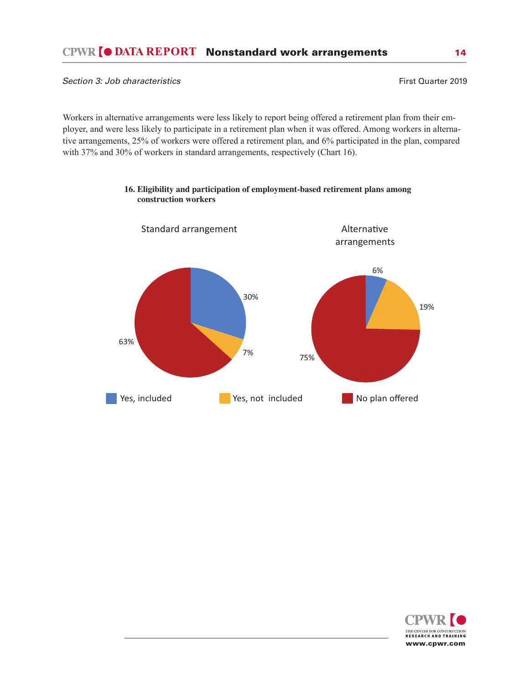Workers in alternative arrangements were less likely to report being offered a retirement plan from their employer, and were less likely to participate in a retirement plan when it was offered. Among workers in alternative arrangements, 25% of workers were offered a retirement plan, and 6% participated in the plan, compared with 37% and 30% of workers in standard arrangements, respectively (Chart 16).



## **16. Eligibility and participation of employment-based retirement plans among construction workers**

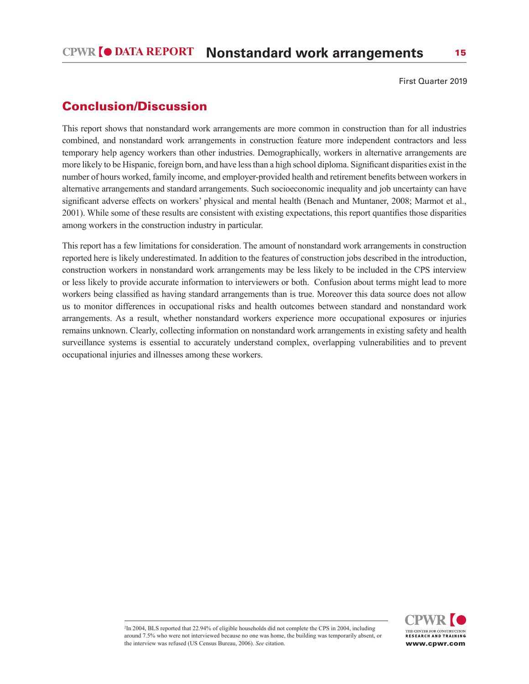# Conclusion/Discussion

This report shows that nonstandard work arrangements are more common in construction than for all industries combined, and nonstandard work arrangements in construction feature more independent contractors and less temporary help agency workers than other industries. Demographically, workers in alternative arrangements are more likely to be Hispanic, foreign born, and have less than a high school diploma. Significant disparities exist in the number of hours worked, family income, and employer-provided health and retirement benefits between workers in alternative arrangements and standard arrangements. Such socioeconomic inequality and job uncertainty can have significant adverse effects on workers' physical and mental health (Benach and Muntaner, 2008; Marmot et al., 2001). While some of these results are consistent with existing expectations, this report quantifies those disparities among workers in the construction industry in particular.

This report has a few limitations for consideration. The amount of nonstandard work arrangements in construction reported here is likely underestimated. In addition to the features of construction jobs described in the introduction, construction workers in nonstandard work arrangements may be less likely to be included in the CPS interview or less likely to provide accurate information to interviewers or both. Confusion about terms might lead to more workers being classified as having standard arrangements than is true. Moreover this data source does not allow us to monitor differences in occupational risks and health outcomes between standard and nonstandard work arrangements. As a result, whether nonstandard workers experience more occupational exposures or injuries remains unknown. Clearly, collecting information on nonstandard work arrangements in existing safety and health surveillance systems is essential to accurately understand complex, overlapping vulnerabilities and to prevent occupational injuries and illnesses among these workers.



2 In 2004, BLS reported that 22.94% of eligible households did not complete the CPS in 2004, including around 7.5% who were not interviewed because no one was home, the building was temporarily absent, or the interview was refused (US Census Bureau, 2006). *See* citation.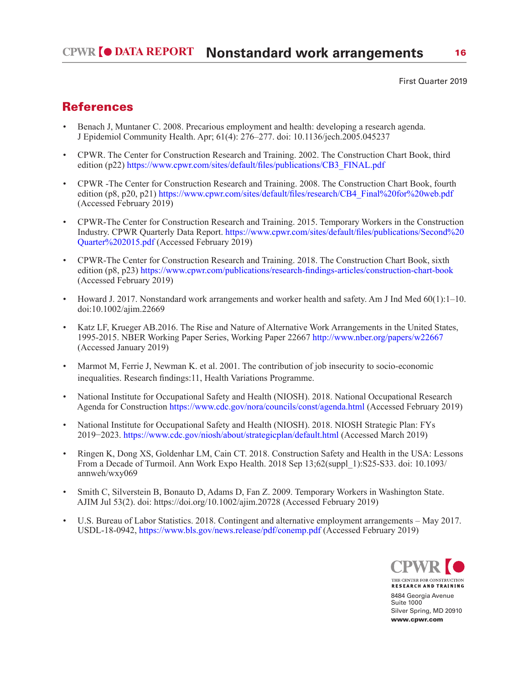# **References**

- Benach J, Muntaner C. 2008. Precarious employment and health: developing a research agenda. J Epidemiol Community Health. Apr; 61(4): 276–277. doi: 10.1136/jech.2005.045237
- CPWR. The Center for Construction Research and Training. 2002. The Construction Chart Book, third edition (p22) https://www.cpwr.com/sites/default/files/publications/CB3\_FINAL.pdf
- CPWR -The Center for Construction Research and Training. 2008. The Construction Chart Book, fourth edition (p8, p20, p21) https://www.cpwr.com/sites/default/files/research/CB4\_Final%20for%20web.pdf (Accessed February 2019)
- CPWR-The Center for Construction Research and Training. 2015. Temporary Workers in the Construction Industry. CPWR Quarterly Data Report. https://www.cpwr.com/sites/default/files/publications/Second%20 Quarter%202015.pdf (Accessed February 2019)
- CPWR-The Center for Construction Research and Training. 2018. The Construction Chart Book, sixth edition (p8, p23) https://www.cpwr.com/publications/research-findings-articles/construction-chart-book (Accessed February 2019)
- Howard J. 2017. Nonstandard work arrangements and worker health and safety. Am J Ind Med 60(1):1–10. doi:10.1002/ajim.22669
- Katz LF, Krueger AB.2016. The Rise and Nature of Alternative Work Arrangements in the United States, 1995-2015. NBER Working Paper Series, Working Paper 22667 http://www.nber.org/papers/w22667 (Accessed January 2019)
- Marmot M, Ferrie J, Newman K. et al. 2001. The contribution of job insecurity to socio-economic inequalities. Research findings:11, Health Variations Programme.
- National Institute for Occupational Safety and Health (NIOSH). 2018. National Occupational Research Agenda for Construction https://www.cdc.gov/nora/councils/const/agenda.html (Accessed February 2019)
- National Institute for Occupational Safety and Health (NIOSH). 2018. NIOSH Strategic Plan: FYs 2019−2023. https://www.cdc.gov/niosh/about/strategicplan/default.html (Accessed March 2019)
- Ringen K, Dong XS, Goldenhar LM, Cain CT. 2018. Construction Safety and Health in the USA: Lessons From a Decade of Turmoil. Ann Work Expo Health. 2018 Sep 13;62(suppl\_1):S25-S33. doi: 10.1093/ annweh/wxy069
- Smith C, Silverstein B, Bonauto D, Adams D, Fan Z. 2009. Temporary Workers in Washington State. AJIM Jul 53(2). doi: https://doi.org/10.1002/ajim.20728 (Accessed February 2019)
- U.S. Bureau of Labor Statistics. 2018. Contingent and alternative employment arrangements May 2017. USDL-18-0942, https://www.bls.gov/news.release/pdf/conemp.pdf (Accessed February 2019)



**RESEARCH AND TRAINING** 8484 Georgia Avenue Suite 1000 Silver Spring, MD 20910 www.cpwr.com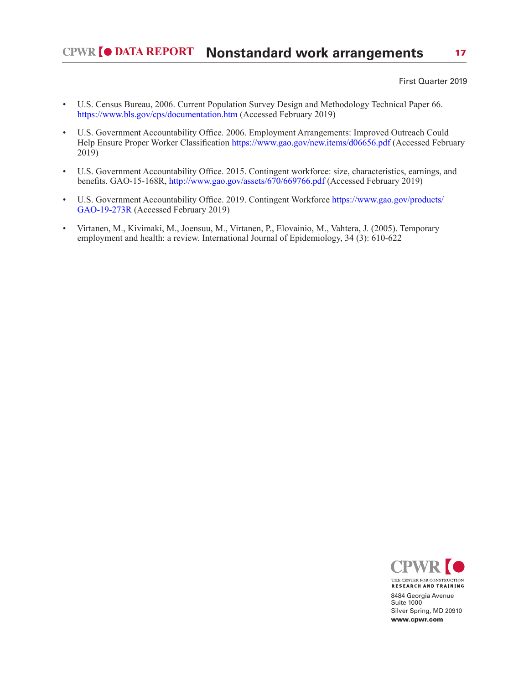- U.S. Census Bureau, 2006. Current Population Survey Design and Methodology Technical Paper 66. https://www.bls.gov/cps/documentation.htm (Accessed February 2019)
- U.S. Government Accountability Office. 2006. Employment Arrangements: Improved Outreach Could Help Ensure Proper Worker Classification https://www.gao.gov/new.items/d06656.pdf (Accessed February 2019)
- U.S. Government Accountability Office. 2015. Contingent workforce: size, characteristics, earnings, and benefits. GAO-15-168R, http://www.gao.gov/assets/670/669766.pdf (Accessed February 2019)
- U.S. Government Accountability Office. 2019. Contingent Workforce https://www.gao.gov/products/ GAO-19-273R (Accessed February 2019)
- Virtanen, M., Kivimaki, M., Joensuu, M., Virtanen, P., Elovainio, M., Vahtera, J. (2005). Temporary employment and health: a review. International Journal of Epidemiology, 34 (3): 610-622



8484 Georgia Avenue Suite 1000 Silver Spring, MD 20910 www.cpwr.com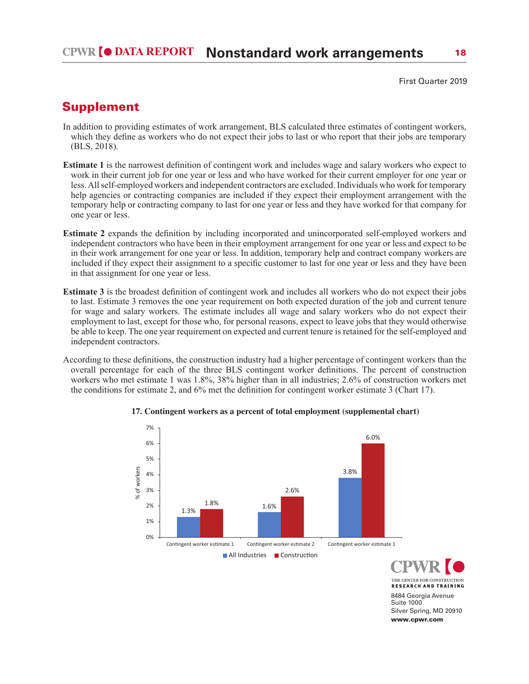# Supplement

- In addition to providing estimates of work arrangement, BLS calculated three estimates of contingent workers, which they define as workers who do not expect their jobs to last or who report that their jobs are temporary (BLS, 2018).
- **Estimate 1** is the narrowest definition of contingent work and includes wage and salary workers who expect to work in their current job for one year or less and who have worked for their current employer for one year or less. All self-employed workers and independent contractors are excluded. Individuals who work for temporary help agencies or contracting companies are included if they expect their employment arrangement with the temporary help or contracting company to last for one year or less and they have worked for that company for one year or less.
- **Estimate 2** expands the definition by including incorporated and unincorporated self-employed workers and independent contractors who have been in their employment arrangement for one year or less and expect to be in their work arrangement for one year or less. In addition, temporary help and contract company workers are included if they expect their assignment to a specific customer to last for one year or less and they have been in that assignment for one year or less.
- **Estimate 3** is the broadest definition of contingent work and includes all workers who do not expect their jobs to last. Estimate 3 removes the one year requirement on both expected duration of the job and current tenure for wage and salary workers. The estimate includes all wage and salary workers who do not expect their employment to last, except for those who, for personal reasons, expect to leave jobs that they would otherwise be able to keep. The one year requirement on expected and current tenure is retained for the self-employed and independent contractors.
- According to these definitions, the construction industry had a higher percentage of contingent workers than the overall percentage for each of the three BLS contingent worker definitions. The percent of construction workers who met estimate 1 was 1.8%, 38% higher than in all industries; 2.6% of construction workers met the conditions for estimate 2, and 6% met the definition for contingent worker estimate 3 (Chart 17).



#### **17. Contingent workers as a percent of total employment (supplemental chart)**

THE CENTER FOR CONSTRUCTION **RESEARCH AND TRAINING** 8484 Georgia Avenue Suite 1000 Silver Spring, MD 20910 www.cpwr.com